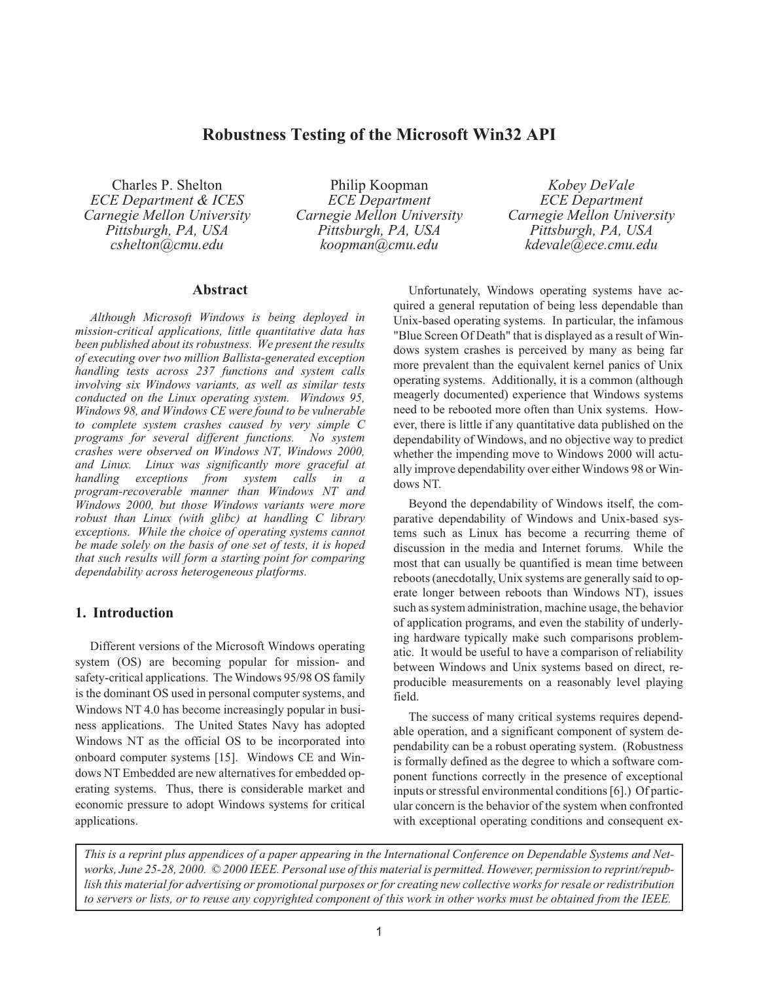# **Robustness Testing of the Microsoft Win32 API**

Charles P. Shelton *ECE Department & ICES Carnegie Mellon University Pittsburgh, PA, USA cshelton@cmu.edu*

Philip Koopman *ECE Department Carnegie Mellon University Pittsburgh, PA, USA koopman@cmu.edu*

*Kobey DeVale ECE Department Carnegie Mellon University Pittsburgh, PA, USA kdevale@ece.cmu.edu*

## **Abstract**

*Although Microsoft Windows is being deployed in mission-critical applications, little quantitative data has been published about its robustness. We present the results of executing over two million Ballista-generated exception handling tests across 237 functions and system calls involving six Windows variants, as well as similar tests conducted on the Linux operating system. Windows 95, Windows 98, and Windows CE were found to be vulnerable to complete system crashes caused by very simple C programs for several different functions. No system crashes were observed on Windows NT, Windows 2000, and Linux. Linux was significantly more graceful at handling exceptions from system calls in a program-recoverable manner than Windows NT and Windows 2000, but those Windows variants were more robust than Linux (with glibc) at handling C library exceptions. While the choice of operating systems cannot be made solely on the basis of one set of tests, it is hoped that such results will form a starting point for comparing dependability across heterogeneous platforms.*

# **1. Introduction**

Different versions of the Microsoft Windows operating system (OS) are becoming popular for mission- and safety-critical applications. The Windows 95/98 OS family is the dominant OS used in personal computer systems, and Windows NT 4.0 has become increasingly popular in business applications. The United States Navy has adopted Windows NT as the official OS to be incorporated into onboard computer systems [15]. Windows CE and Windows NT Embedded are new alternatives for embedded operating systems. Thus, there is considerable market and economic pressure to adopt Windows systems for critical applications.

Unfortunately, Windows operating systems have acquired a general reputation of being less dependable than Unix-based operating systems. In particular, the infamous "Blue Screen Of Death" that is displayed as a result of Windows system crashes is perceived by many as being far more prevalent than the equivalent kernel panics of Unix operating systems. Additionally, it is a common (although meagerly documented) experience that Windows systems need to be rebooted more often than Unix systems. However, there is little if any quantitative data published on the dependability of Windows, and no objective way to predict whether the impending move to Windows 2000 will actually improve dependability over either Windows 98 or Windows NT.

Beyond the dependability of Windows itself, the comparative dependability of Windows and Unix-based systems such as Linux has become a recurring theme of discussion in the media and Internet forums. While the most that can usually be quantified is mean time between reboots (anecdotally, Unix systems are generally said to operate longer between reboots than Windows NT), issues such as system administration, machine usage, the behavior of application programs, and even the stability of underlying hardware typically make such comparisons problematic. It would be useful to have a comparison of reliability between Windows and Unix systems based on direct, reproducible measurements on a reasonably level playing field.

The success of many critical systems requires dependable operation, and a significant component of system dependability can be a robust operating system. (Robustness is formally defined as the degree to which a software component functions correctly in the presence of exceptional inputs or stressful environmental conditions [6].) Of particular concern is the behavior of the system when confronted with exceptional operating conditions and consequent ex-

*This is a reprint plus appendices of a paper appearing in the International Conference on Dependable Systems and Networks, June 25-28, 2000. © 2000 IEEE. Personal use of this material is permitted. However, permission to reprint/republish this material for advertising or promotional purposes or for creating new collective works for resale or redistribution to servers or lists, or to reuse any copyrighted component of this work in other works must be obtained from the IEEE.*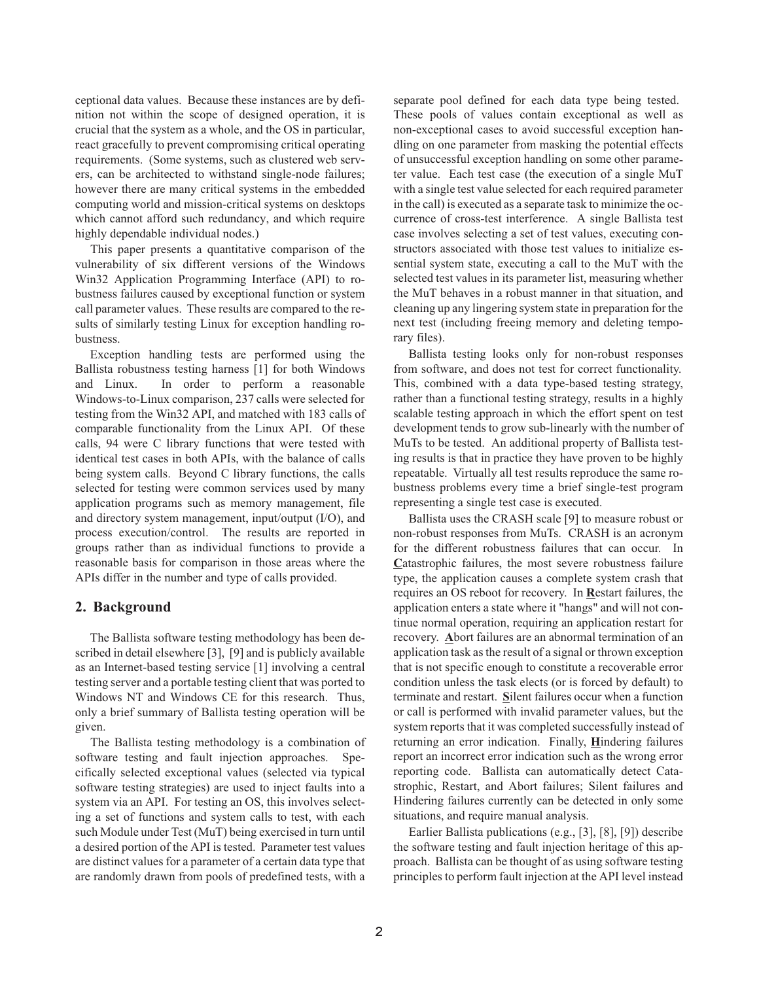ceptional data values. Because these instances are by definition not within the scope of designed operation, it is crucial that the system as a whole, and the OS in particular, react gracefully to prevent compromising critical operating requirements. (Some systems, such as clustered web servers, can be architected to withstand single-node failures; however there are many critical systems in the embedded computing world and mission-critical systems on desktops which cannot afford such redundancy, and which require highly dependable individual nodes.)

This paper presents a quantitative comparison of the vulnerability of six different versions of the Windows Win32 Application Programming Interface (API) to robustness failures caused by exceptional function or system call parameter values. These results are compared to the results of similarly testing Linux for exception handling robustness.

Exception handling tests are performed using the Ballista robustness testing harness [1] for both Windows and Linux. In order to perform a reasonable Windows-to-Linux comparison, 237 calls were selected for testing from the Win32 API, and matched with 183 calls of comparable functionality from the Linux API. Of these calls, 94 were C library functions that were tested with identical test cases in both APIs, with the balance of calls being system calls. Beyond C library functions, the calls selected for testing were common services used by many application programs such as memory management, file and directory system management, input/output (I/O), and process execution/control. The results are reported in groups rather than as individual functions to provide a reasonable basis for comparison in those areas where the APIs differ in the number and type of calls provided.

## **2. Background**

The Ballista software testing methodology has been described in detail elsewhere [3], [9] and is publicly available as an Internet-based testing service [1] involving a central testing server and a portable testing client that was ported to Windows NT and Windows CE for this research. Thus, only a brief summary of Ballista testing operation will be given.

The Ballista testing methodology is a combination of software testing and fault injection approaches. Specifically selected exceptional values (selected via typical software testing strategies) are used to inject faults into a system via an API. For testing an OS, this involves selecting a set of functions and system calls to test, with each such Module under Test (MuT) being exercised in turn until a desired portion of the API is tested. Parameter test values are distinct values for a parameter of a certain data type that are randomly drawn from pools of predefined tests, with a

separate pool defined for each data type being tested. These pools of values contain exceptional as well as non-exceptional cases to avoid successful exception handling on one parameter from masking the potential effects of unsuccessful exception handling on some other parameter value. Each test case (the execution of a single MuT with a single test value selected for each required parameter in the call) is executed as a separate task to minimize the occurrence of cross-test interference. A single Ballista test case involves selecting a set of test values, executing constructors associated with those test values to initialize essential system state, executing a call to the MuT with the selected test values in its parameter list, measuring whether the MuT behaves in a robust manner in that situation, and cleaning up any lingering system state in preparation for the next test (including freeing memory and deleting temporary files).

Ballista testing looks only for non-robust responses from software, and does not test for correct functionality. This, combined with a data type-based testing strategy, rather than a functional testing strategy, results in a highly scalable testing approach in which the effort spent on test development tends to grow sub-linearly with the number of MuTs to be tested. An additional property of Ballista testing results is that in practice they have proven to be highly repeatable. Virtually all test results reproduce the same robustness problems every time a brief single-test program representing a single test case is executed.

Ballista uses the CRASH scale [9] to measure robust or non-robust responses from MuTs. CRASH is an acronym for the different robustness failures that can occur. In **C**atastrophic failures, the most severe robustness failure type, the application causes a complete system crash that requires an OS reboot for recovery. In **R**estart failures, the application enters a state where it "hangs" and will not continue normal operation, requiring an application restart for recovery. **A**bort failures are an abnormal termination of an application task as the result of a signal or thrown exception that is not specific enough to constitute a recoverable error condition unless the task elects (or is forced by default) to terminate and restart. **S**ilent failures occur when a function or call is performed with invalid parameter values, but the system reports that it was completed successfully instead of returning an error indication. Finally, **H**indering failures report an incorrect error indication such as the wrong error reporting code. Ballista can automatically detect Catastrophic, Restart, and Abort failures; Silent failures and Hindering failures currently can be detected in only some situations, and require manual analysis.

Earlier Ballista publications (e.g., [3], [8], [9]) describe the software testing and fault injection heritage of this approach. Ballista can be thought of as using software testing principles to perform fault injection at the API level instead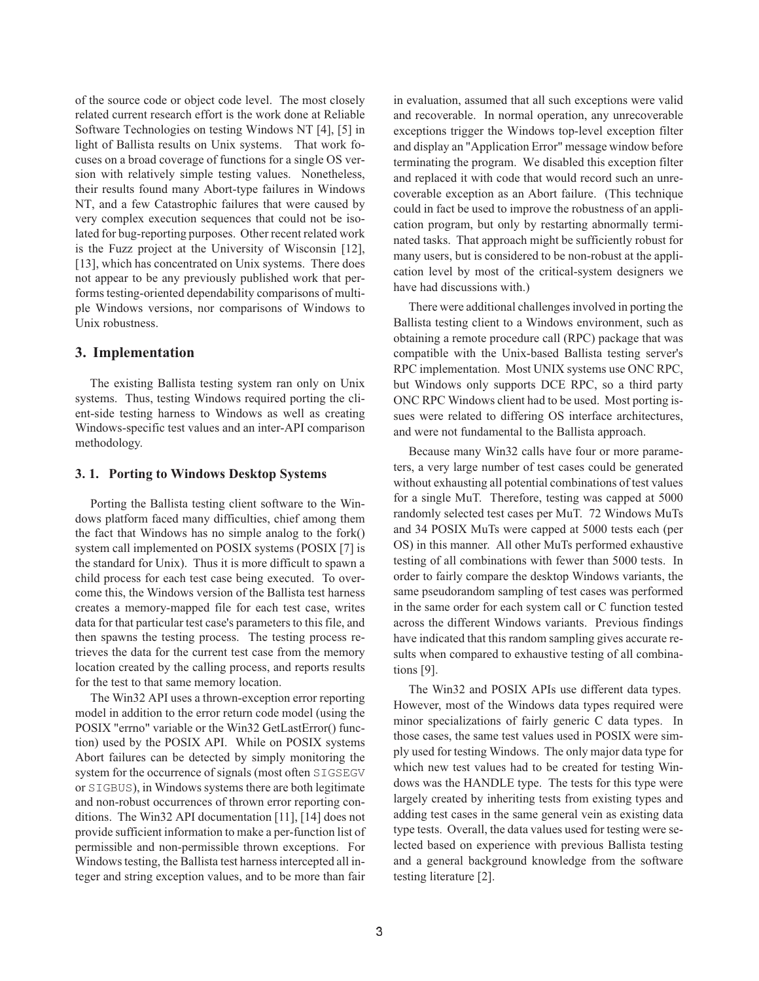of the source code or object code level. The most closely related current research effort is the work done at Reliable Software Technologies on testing Windows NT [4], [5] in light of Ballista results on Unix systems. That work focuses on a broad coverage of functions for a single OS version with relatively simple testing values. Nonetheless, their results found many Abort-type failures in Windows NT, and a few Catastrophic failures that were caused by very complex execution sequences that could not be isolated for bug-reporting purposes. Other recent related work is the Fuzz project at the University of Wisconsin [12], [13], which has concentrated on Unix systems. There does not appear to be any previously published work that performs testing-oriented dependability comparisons of multiple Windows versions, nor comparisons of Windows to Unix robustness.

## **3. Implementation**

The existing Ballista testing system ran only on Unix systems. Thus, testing Windows required porting the client-side testing harness to Windows as well as creating Windows-specific test values and an inter-API comparison methodology.

#### **3. 1. Porting to Windows Desktop Systems**

Porting the Ballista testing client software to the Windows platform faced many difficulties, chief among them the fact that Windows has no simple analog to the fork() system call implemented on POSIX systems (POSIX [7] is the standard for Unix). Thus it is more difficult to spawn a child process for each test case being executed. To overcome this, the Windows version of the Ballista test harness creates a memory-mapped file for each test case, writes data for that particular test case's parameters to this file, and then spawns the testing process. The testing process retrieves the data for the current test case from the memory location created by the calling process, and reports results for the test to that same memory location.

The Win32 API uses a thrown-exception error reporting model in addition to the error return code model (using the POSIX "errno" variable or the Win32 GetLastError() function) used by the POSIX API. While on POSIX systems Abort failures can be detected by simply monitoring the system for the occurrence of signals (most often SIGSEGV or SIGBUS), in Windows systems there are both legitimate and non-robust occurrences of thrown error reporting conditions. The Win32 API documentation [11], [14] does not provide sufficient information to make a per-function list of permissible and non-permissible thrown exceptions. For Windows testing, the Ballista test harness intercepted all integer and string exception values, and to be more than fair

in evaluation, assumed that all such exceptions were valid and recoverable. In normal operation, any unrecoverable exceptions trigger the Windows top-level exception filter and display an "Application Error" message window before terminating the program. We disabled this exception filter and replaced it with code that would record such an unrecoverable exception as an Abort failure. (This technique could in fact be used to improve the robustness of an application program, but only by restarting abnormally terminated tasks. That approach might be sufficiently robust for many users, but is considered to be non-robust at the application level by most of the critical-system designers we have had discussions with.)

There were additional challenges involved in porting the Ballista testing client to a Windows environment, such as obtaining a remote procedure call (RPC) package that was compatible with the Unix-based Ballista testing server's RPC implementation. Most UNIX systems use ONC RPC, but Windows only supports DCE RPC, so a third party ONC RPC Windows client had to be used. Most porting issues were related to differing OS interface architectures, and were not fundamental to the Ballista approach.

Because many Win32 calls have four or more parameters, a very large number of test cases could be generated without exhausting all potential combinations of test values for a single MuT. Therefore, testing was capped at 5000 randomly selected test cases per MuT. 72 Windows MuTs and 34 POSIX MuTs were capped at 5000 tests each (per OS) in this manner. All other MuTs performed exhaustive testing of all combinations with fewer than 5000 tests. In order to fairly compare the desktop Windows variants, the same pseudorandom sampling of test cases was performed in the same order for each system call or C function tested across the different Windows variants. Previous findings have indicated that this random sampling gives accurate results when compared to exhaustive testing of all combinations [9].

The Win32 and POSIX APIs use different data types. However, most of the Windows data types required were minor specializations of fairly generic C data types. In those cases, the same test values used in POSIX were simply used for testing Windows. The only major data type for which new test values had to be created for testing Windows was the HANDLE type. The tests for this type were largely created by inheriting tests from existing types and adding test cases in the same general vein as existing data type tests. Overall, the data values used for testing were selected based on experience with previous Ballista testing and a general background knowledge from the software testing literature [2].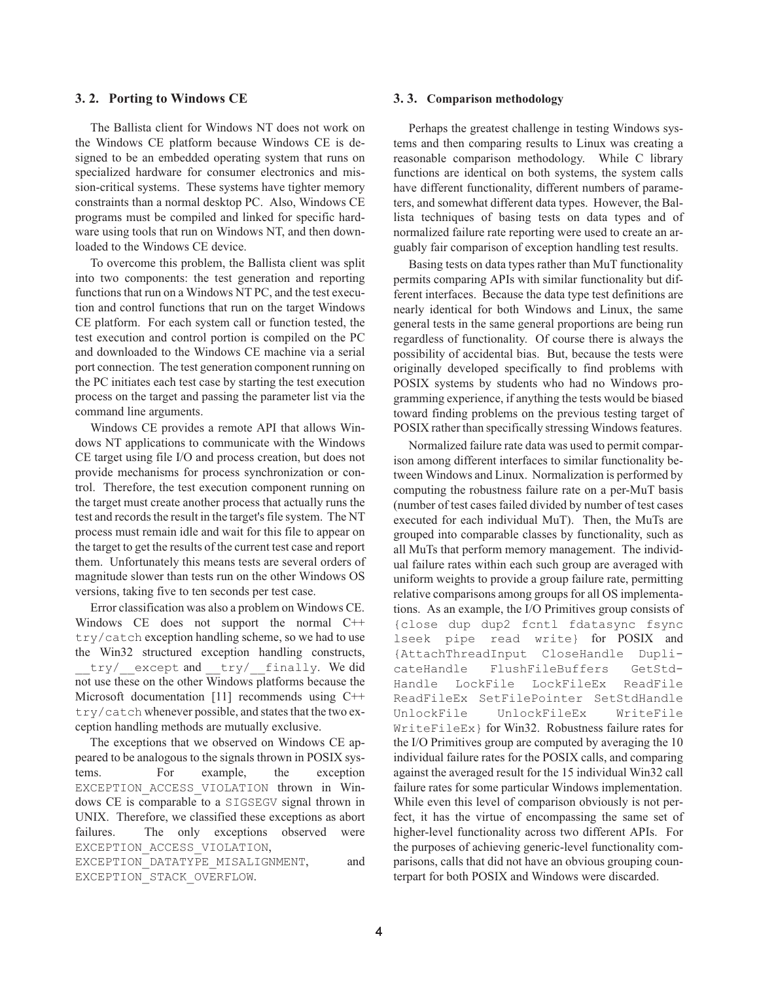#### **3. 2. Porting to Windows CE**

The Ballista client for Windows NT does not work on the Windows CE platform because Windows CE is designed to be an embedded operating system that runs on specialized hardware for consumer electronics and mission-critical systems. These systems have tighter memory constraints than a normal desktop PC. Also, Windows CE programs must be compiled and linked for specific hardware using tools that run on Windows NT, and then downloaded to the Windows CE device.

To overcome this problem, the Ballista client was split into two components: the test generation and reporting functions that run on a Windows NT PC, and the test execution and control functions that run on the target Windows CE platform. For each system call or function tested, the test execution and control portion is compiled on the PC and downloaded to the Windows CE machine via a serial port connection. The test generation component running on the PC initiates each test case by starting the test execution process on the target and passing the parameter list via the command line arguments.

Windows CE provides a remote API that allows Windows NT applications to communicate with the Windows CE target using file I/O and process creation, but does not provide mechanisms for process synchronization or control. Therefore, the test execution component running on the target must create another process that actually runs the test and records the result in the target's file system. The NT process must remain idle and wait for this file to appear on the target to get the results of the current test case and report them. Unfortunately this means tests are several orders of magnitude slower than tests run on the other Windows OS versions, taking five to ten seconds per test case.

Error classification was also a problem on Windows CE. Windows CE does not support the normal C++ try/catch exception handling scheme, so we had to use the Win32 structured exception handling constructs, try/ except and try/ finally. We did not use these on the other Windows platforms because the Microsoft documentation [11] recommends using C<sup>++</sup> try/catch whenever possible, and states that the two exception handling methods are mutually exclusive.

The exceptions that we observed on Windows CE appeared to be analogous to the signals thrown in POSIX systems. For example, the exception EXCEPTION\_ACCESS\_VIOLATION thrown in Windows CE is comparable to a SIGSEGV signal thrown in UNIX. Therefore, we classified these exceptions as abort failures. The only exceptions observed were EXCEPTION\_ACCESS\_VIOLATION,

EXCEPTION DATATYPE MISALIGNMENT, and EXCEPTION\_STACK\_OVERFLOW.

#### **3. 3. Comparison methodology**

Perhaps the greatest challenge in testing Windows systems and then comparing results to Linux was creating a reasonable comparison methodology. While C library functions are identical on both systems, the system calls have different functionality, different numbers of parameters, and somewhat different data types. However, the Ballista techniques of basing tests on data types and of normalized failure rate reporting were used to create an arguably fair comparison of exception handling test results.

Basing tests on data types rather than MuT functionality permits comparing APIs with similar functionality but different interfaces. Because the data type test definitions are nearly identical for both Windows and Linux, the same general tests in the same general proportions are being run regardless of functionality. Of course there is always the possibility of accidental bias. But, because the tests were originally developed specifically to find problems with POSIX systems by students who had no Windows programming experience, if anything the tests would be biased toward finding problems on the previous testing target of POSIX rather than specifically stressing Windows features.

Normalized failure rate data was used to permit comparison among different interfaces to similar functionality between Windows and Linux. Normalization is performed by computing the robustness failure rate on a per-MuT basis (number of test cases failed divided by number of test cases executed for each individual MuT). Then, the MuTs are grouped into comparable classes by functionality, such as all MuTs that perform memory management. The individual failure rates within each such group are averaged with uniform weights to provide a group failure rate, permitting relative comparisons among groups for all OS implementations. As an example, the I/O Primitives group consists of {close dup dup2 fcntl fdatasync fsync lseek pipe read write} for POSIX and {AttachThreadInput CloseHandle DuplicateHandle FlushFileBuffers GetStd-Handle LockFile LockFileEx ReadFile ReadFileEx SetFilePointer SetStdHandle UnlockFile UnlockFileEx WriteFile WriteFileEx} for Win32. Robustness failure rates for the I/O Primitives group are computed by averaging the 10 individual failure rates for the POSIX calls, and comparing against the averaged result for the 15 individual Win32 call failure rates for some particular Windows implementation. While even this level of comparison obviously is not perfect, it has the virtue of encompassing the same set of higher-level functionality across two different APIs. For the purposes of achieving generic-level functionality comparisons, calls that did not have an obvious grouping counterpart for both POSIX and Windows were discarded.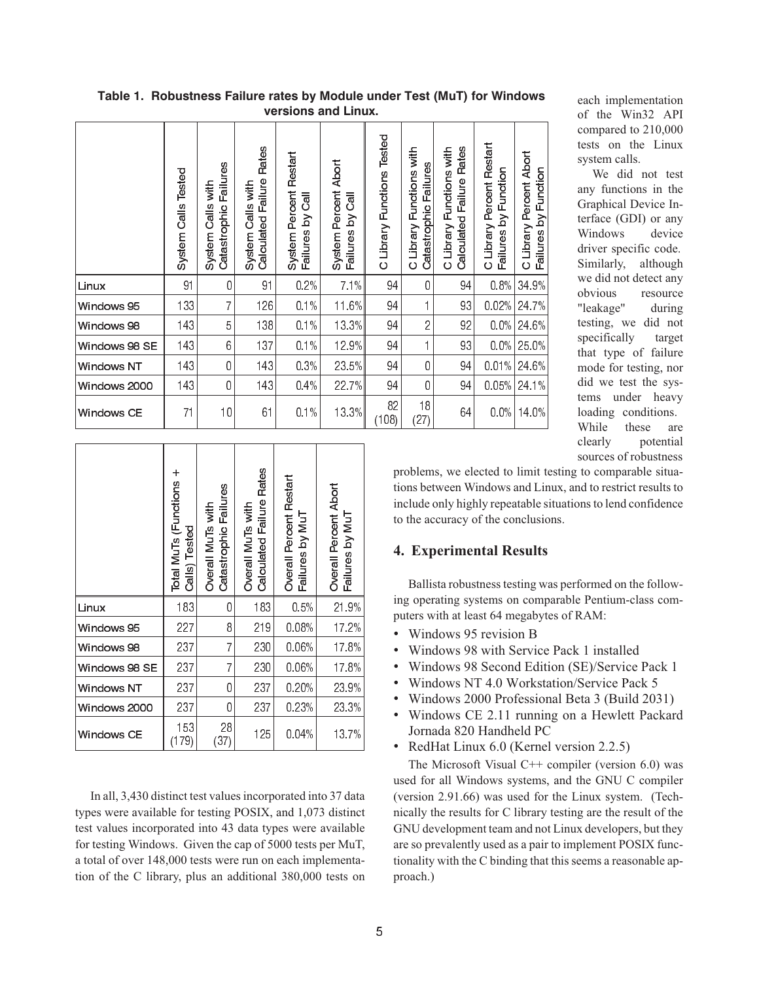|                   | Tested<br>Calls<br>System | Failures<br>with<br>Calls<br>Catastrophic<br>System | <b>Rates</b><br>Calculated Failure<br>Calls with<br>System | Restart<br>Percent<br>$\overline{3}$<br>$\gtrapprox$<br><b>Failures</b><br>System | <b>Abort</b><br>Percent<br>$\overline{c}$<br>Failures by<br>System | Tested<br>Library Functions<br>$\circ$ | C Library Functions with<br>Catastrophic Failures | <b>Rates</b><br>Library Functions with<br>Calculated Failure<br>$\circ$ | Library Percent Restart<br>Failures by Function<br>$\circ$ | Abort<br>Failures by Function<br>Library Percent<br>$\circ$ |
|-------------------|---------------------------|-----------------------------------------------------|------------------------------------------------------------|-----------------------------------------------------------------------------------|--------------------------------------------------------------------|----------------------------------------|---------------------------------------------------|-------------------------------------------------------------------------|------------------------------------------------------------|-------------------------------------------------------------|
| Linux             | 91                        | 0                                                   | 91                                                         | 0.2%                                                                              | 7.1%                                                               | 94                                     | 0                                                 | 94                                                                      | 0.8%                                                       | 34.9%                                                       |
| Windows 95        | 133                       | 7                                                   | 126                                                        | 0.1%                                                                              | 11.6%                                                              | 94                                     | 1                                                 | 93                                                                      | 0.02%                                                      | 24.7%                                                       |
| Windows 98        | 143                       | 5                                                   | 138                                                        | 0.1%                                                                              | 13.3%                                                              | 94                                     | $\overline{c}$                                    | 92                                                                      | 0.0%                                                       | 24.6%                                                       |
| Windows 98 SE     | 143                       | 6                                                   | 137                                                        | 0.1%                                                                              | 12.9%                                                              | 94                                     | 1                                                 | 93                                                                      | $0.0\%$                                                    | 25.0%                                                       |
| <b>Windows NT</b> | 143                       | 0                                                   | 143                                                        | 0.3%                                                                              | 23.5%                                                              | 94                                     | 0                                                 | 94                                                                      | 0.01%                                                      | 24.6%                                                       |
| Windows 2000      | 143                       | 0                                                   | 143                                                        | 0.4%                                                                              | 22.7%                                                              | 94                                     | 0                                                 | 94                                                                      | 0.05%                                                      | 24.1%                                                       |
| <b>Windows CE</b> | 71                        | 10 <sup>1</sup>                                     | 61                                                         | 0.1%                                                                              | 13.3%                                                              | 82<br>(108)                            | 18<br>(27)                                        | 64                                                                      | $0.0\%$                                                    | 14.0%                                                       |

**Table 1. Robustness Failure rates by Module under Test (MuT) for Windows versions and Linux.**

|                   | $\,{}^+$<br>Total MuTs (Functions<br>Calls) Tested | Catastrophic Failures<br>Overall MuTs with | Calculated Failure Rates<br>Overall Mu <sub>Ts</sub> with | <b>Overall Percent Restart</b><br>TnM Ng<br>Failures | Overall Percent Abort<br>Failures by MuT |
|-------------------|----------------------------------------------------|--------------------------------------------|-----------------------------------------------------------|------------------------------------------------------|------------------------------------------|
| Linux             | 183                                                | 0                                          | 183                                                       | 0.5%                                                 | 21.9%                                    |
| Windows 95        | 227                                                | 8                                          | 219                                                       | 0.08%                                                | 17.2%                                    |
| Windows 98        | 237                                                | 7                                          | 230                                                       | 0.06%                                                | 17.8%                                    |
| Windows 98 SE     | 237                                                | 7                                          | 230                                                       | 0.06%                                                | 17.8%                                    |
| <b>Windows NT</b> | 237                                                | 0                                          | 237                                                       | 0.20%                                                | 23.9%                                    |
| Windows 2000      | 237                                                | 0                                          | 237                                                       | 0.23%                                                | 23.3%                                    |
| <b>Windows CE</b> | 153<br>(179)                                       | 28<br>(37)                                 | 125                                                       | 0.04%                                                | 137%                                     |

In all, 3,430 distinct test values incorporated into 37 data types were available for testing POSIX, and 1,073 distinct test values incorporated into 43 data types were available for testing Windows. Given the cap of 5000 tests per MuT, a total of over 148,000 tests were run on each implementation of the C library, plus an additional 380,000 tests on each implementation of the Win32 API compared to 210,000 tests on the Linux system calls.

We did not test any functions in the Graphical Device Interface (GDI) or any Windows device driver specific code. Similarly, although we did not detect any obvious resource "leakage" during testing, we did not specifically target that type of failure mode for testing, nor did we test the systems under heavy loading conditions. While these are clearly potential sources of robustness

problems, we elected to limit testing to comparable situations between Windows and Linux, and to restrict results to include only highly repeatable situations to lend confidence to the accuracy of the conclusions.

# **4. Experimental Results**

Ballista robustness testing was performed on the following operating systems on comparable Pentium-class computers with at least 64 megabytes of RAM:

- Windows 95 revision B
- Windows 98 with Service Pack 1 installed
- Windows 98 Second Edition (SE)/Service Pack 1
- Windows NT 4.0 Workstation/Service Pack 5
- Windows 2000 Professional Beta 3 (Build 2031)
- Windows CE 2.11 running on a Hewlett Packard Jornada 820 Handheld PC
- RedHat Linux 6.0 (Kernel version 2.2.5)

The Microsoft Visual  $C++$  compiler (version 6.0) was used for all Windows systems, and the GNU C compiler (version 2.91.66) was used for the Linux system. (Technically the results for C library testing are the result of the GNU development team and not Linux developers, but they are so prevalently used as a pair to implement POSIX functionality with the C binding that this seems a reasonable approach.)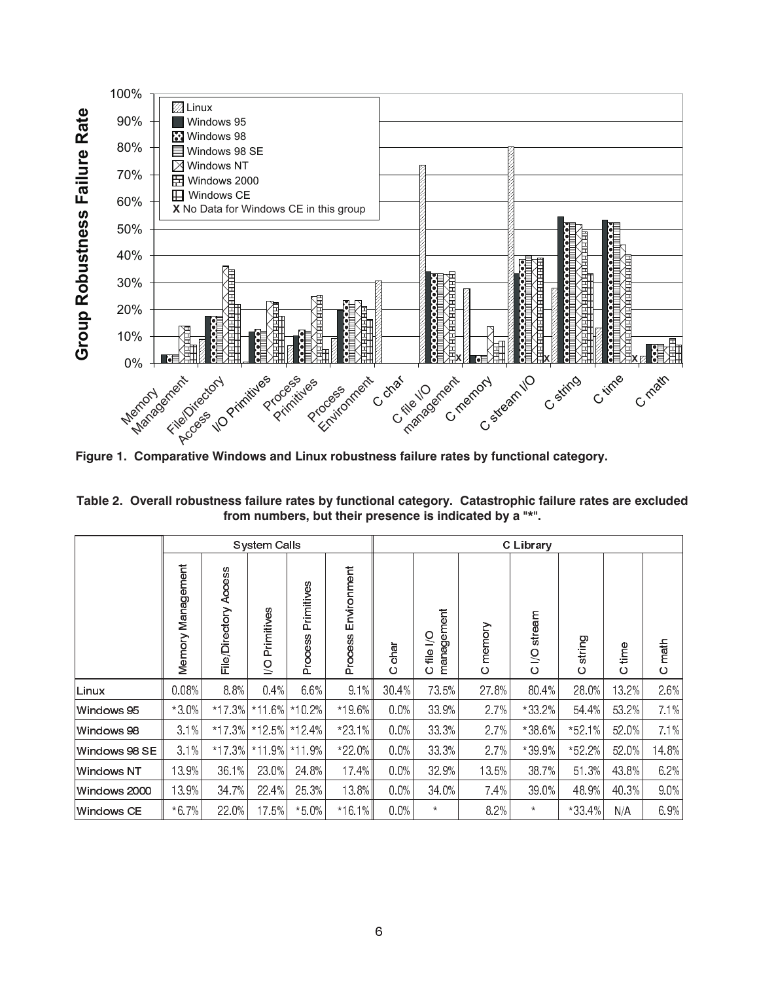

**Figure 1. Comparative Windows and Linux robustness failure rates by functional category.**

| Table 2. Overall robustness failure rates by functional category. Catastrophic failure rates are excluded |
|-----------------------------------------------------------------------------------------------------------|
| from numbers, but their presence is indicated by a "*".                                                   |

|                   |                      |                          | <b>System Calls</b>                   |                       |                        | C Library       |                                                          |                   |                                              |                   |                 |                 |  |
|-------------------|----------------------|--------------------------|---------------------------------------|-----------------------|------------------------|-----------------|----------------------------------------------------------|-------------------|----------------------------------------------|-------------------|-----------------|-----------------|--|
|                   | Management<br>Memory | Access<br>File/Directory | Primitives<br>$\overline{\mathsf{C}}$ | Primitives<br>Process | Environment<br>Process | char<br>$\circ$ | management<br>$\overline{a}$<br>$\frac{1}{2}$<br>$\circ$ | memory<br>$\circ$ | stream<br>$\overline{\mathsf{Q}}$<br>$\circ$ | string<br>$\circ$ | time<br>$\circ$ | math<br>$\circ$ |  |
| Linux             | 0.08%                | 8.8%                     | 0.4%                                  | 6.6%                  | 91%                    | 30.4%           | 73.5%                                                    | 27.8%             | 80.4%                                        | 28.0%             | 13.2%           | 2.6%            |  |
| Windows 95        | $*3.0\%$             | $*17.3%$                 | $*11.6%$                              | $*10.2%$              | $*196\%$               | $0.0\%$         | 33.9%                                                    | 2.7%              | $*33.2%$                                     | 54.4%             | 53.2%           | 71%             |  |
| Windows 98        | 3.1%                 | $*17.3%$                 | $*12.5\%$                             | $*12.4%$              | $*23.1\%$              | $0.0\%$         | 33.3%                                                    | 2.7%              | *38.6%                                       | $*52.1%$          | 52.0%           | 71%             |  |
| Windows 98 SE     | 3.1%                 | $*17.3%$                 | $*11.9%$                              | $*11.9%$              | $*22.0\%$              | $0.0\%$         | 33.3%                                                    | 2.7%              | *39.9%                                       | $*52.2\%$         | 52.0%           | 14.8%           |  |
| <b>Windows NT</b> | 13.9%                | 36.1%                    | 23.0%                                 | 24.8%                 | 17.4%                  | $0.0\%$         | 32 9%                                                    | 13.5%             | 38 7%                                        | 51.3%             | 43.8%           | 6.2%            |  |
| Windows 2000      | 13.9%                | 34 7%                    | 22.4%                                 | 25.3%                 | 13.8%                  | $0.0\%$         | 34.0%                                                    | 7.4%              | 39.0%                                        | 48.9%             | 40.3%           | 9.0%            |  |
| <b>Windows CE</b> | $*6.7\%$             | 22.0%                    | 17.5%                                 | *5.0%                 | $*16.1\%$              | $0.0\%$         | $^\star$                                                 | 8.2%              | $\star$                                      | *33.4%            | N/A             | 6.9%            |  |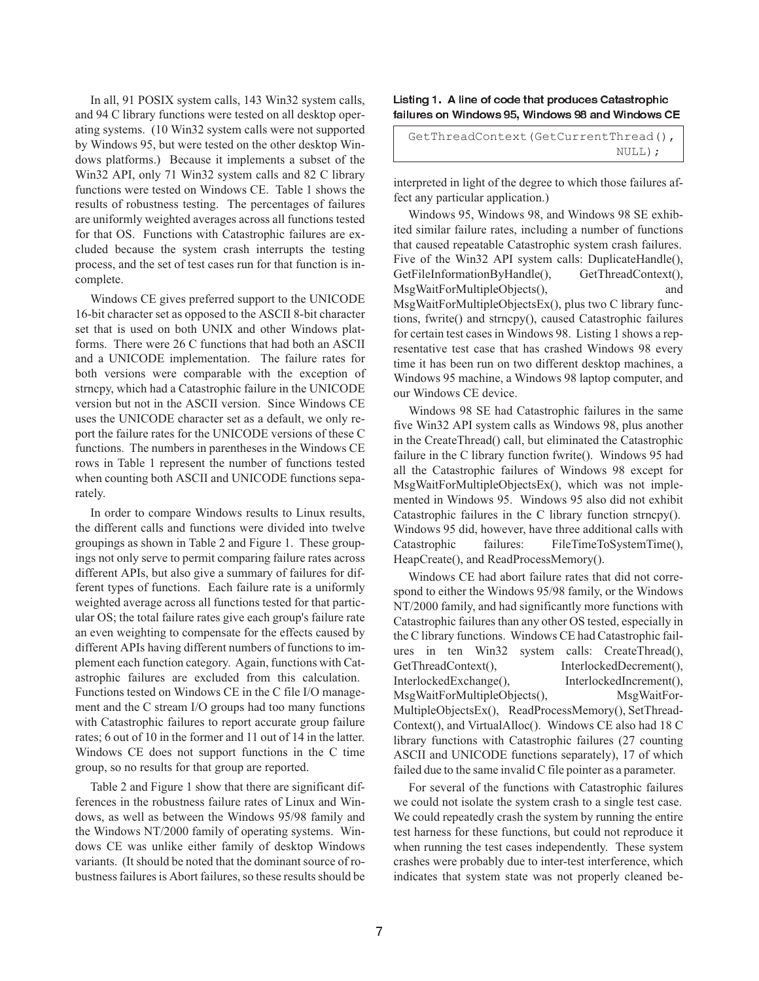In all, 91 POSIX system calls, 143 Win32 system calls, and 94 C library functions were tested on all desktop operating systems. (10 Win32 system calls were not supported by Windows 95, but were tested on the other desktop Windows platforms.) Because it implements a subset of the Win32 API, only 71 Win32 system calls and 82 C library functions were tested on Windows CE. Table 1 shows the results of robustness testing. The percentages of failures are uniformly weighted averages across all functions tested for that OS. Functions with Catastrophic failures are excluded because the system crash interrupts the testing process, and the set of test cases run for that function is incomplete.

Windows CE gives preferred support to the UNICODE 16-bit character set as opposed to the ASCII 8-bit character set that is used on both UNIX and other Windows platforms. There were 26 C functions that had both an ASCII and a UNICODE implementation. The failure rates for both versions were comparable with the exception of strncpy, which had a Catastrophic failure in the UNICODE version but not in the ASCII version. Since Windows CE uses the UNICODE character set as a default, we only report the failure rates for the UNICODE versions of these C functions. The numbers in parentheses in the Windows CE rows in Table 1 represent the number of functions tested when counting both ASCII and UNICODE functions separately.

In order to compare Windows results to Linux results, the different calls and functions were divided into twelve groupings as shown in Table 2 and Figure 1. These groupings not only serve to permit comparing failure rates across different APIs, but also give a summary of failures for different types of functions. Each failure rate is a uniformly weighted average across all functions tested for that particular OS; the total failure rates give each group's failure rate an even weighting to compensate for the effects caused by different APIs having different numbers of functions to implement each function category. Again, functions with Catastrophic failures are excluded from this calculation. Functions tested on Windows CE in the C file I/O management and the C stream I/O groups had too many functions with Catastrophic failures to report accurate group failure rates; 6 out of 10 in the former and 11 out of 14 in the latter. Windows CE does not support functions in the C time group, so no results for that group are reported.

Table 2 and Figure 1 show that there are significant differences in the robustness failure rates of Linux and Windows, as well as between the Windows 95/98 family and the Windows NT/2000 family of operating systems. Windows CE was unlike either family of desktop Windows variants. (It should be noted that the dominant source of robustness failures is Abort failures, so these results should be

Listing 1. A line of code that produces Catastrophic failures on Windows 95, Windows 98 and Windows CE

| GetThreadContext(GetCurrentThread(), |
|--------------------------------------|
| NULL);                               |

interpreted in light of the degree to which those failures affect any particular application.)

Windows 95, Windows 98, and Windows 98 SE exhibited similar failure rates, including a number of functions that caused repeatable Catastrophic system crash failures. Five of the Win32 API system calls: DuplicateHandle(), GetFileInformationByHandle(), GetThreadContext(), MsgWaitForMultipleObjects(), and MsgWaitForMultipleObjectsEx(), plus two C library functions, fwrite() and strncpy(), caused Catastrophic failures for certain test cases in Windows 98. Listing 1 shows a representative test case that has crashed Windows 98 every time it has been run on two different desktop machines, a Windows 95 machine, a Windows 98 laptop computer, and our Windows CE device.

Windows 98 SE had Catastrophic failures in the same five Win32 API system calls as Windows 98, plus another in the CreateThread() call, but eliminated the Catastrophic failure in the C library function fwrite(). Windows 95 had all the Catastrophic failures of Windows 98 except for MsgWaitForMultipleObjectsEx(), which was not implemented in Windows 95. Windows 95 also did not exhibit Catastrophic failures in the C library function strncpy(). Windows 95 did, however, have three additional calls with Catastrophic failures: FileTimeToSystemTime(), HeapCreate(), and ReadProcessMemory().

Windows CE had abort failure rates that did not correspond to either the Windows 95/98 family, or the Windows NT/2000 family, and had significantly more functions with Catastrophic failures than any other OS tested, especially in the C library functions. Windows CE had Catastrophic failures in ten Win32 system calls: CreateThread(), GetThreadContext(), InterlockedDecrement(), InterlockedExchange(), InterlockedIncrement(), MsgWaitForMultipleObjects(), MsgWaitFor-MultipleObjectsEx(), ReadProcessMemory(), SetThread-Context(), and VirtualAlloc(). Windows CE also had 18 C library functions with Catastrophic failures (27 counting ASCII and UNICODE functions separately), 17 of which failed due to the same invalid C file pointer as a parameter.

For several of the functions with Catastrophic failures we could not isolate the system crash to a single test case. We could repeatedly crash the system by running the entire test harness for these functions, but could not reproduce it when running the test cases independently. These system crashes were probably due to inter-test interference, which indicates that system state was not properly cleaned be-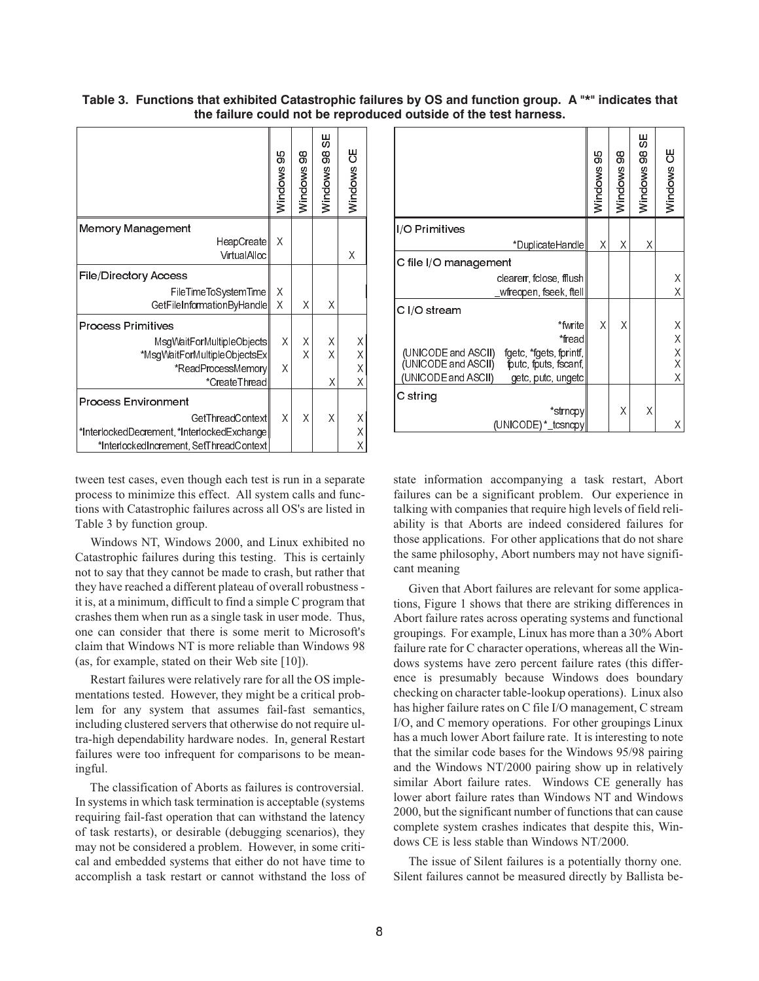|                                             | မ္မ<br>Windows | 8<br>Windows | 58<br>86<br>Windows | Windows CE |
|---------------------------------------------|----------------|--------------|---------------------|------------|
| Memory Management                           |                |              |                     |            |
| HeapCreate                                  | Χ              |              |                     |            |
| VirtualAlloc                                |                |              |                     | Χ          |
| File/Directory Access                       |                |              |                     |            |
| FileTimeToSystemTime                        | Χ              |              |                     |            |
| GetFileInformationByHandle                  | Χ              | Χ            | Χ                   |            |
| <b>Process Primitives</b>                   |                |              |                     |            |
| MsgWaitForMultipleObjects                   | Χ              | Χ            | Χ                   | χ          |
| *MsqWaitForMultipleObjectsEx                |                | Χ            | X                   | X          |
| *ReadProcessMemory                          | Χ              |              |                     | X          |
| *CreateThread                               |                |              | Χ                   | X          |
| <b>Process Environment</b>                  |                |              |                     |            |
| GetThreadContext                            | X              | Χ            | Χ                   | Χ          |
| *InterlockedDecrement, *InterlockedExchange |                |              |                     | X          |
| *InterlockedIncrement, SetThreadContext     |                |              |                     | X          |

**Table 3. Functions that exhibited Catastrophic failures by OS and function group. A "\*" indicates that the failure could not be reproduced outside of the test harness.**

tween test cases, even though each test is run in a separate process to minimize this effect. All system calls and functions with Catastrophic failures across all OS's are listed in Table 3 by function group.

Windows NT, Windows 2000, and Linux exhibited no Catastrophic failures during this testing. This is certainly not to say that they cannot be made to crash, but rather that they have reached a different plateau of overall robustness it is, at a minimum, difficult to find a simple C program that crashes them when run as a single task in user mode. Thus, one can consider that there is some merit to Microsoft's claim that Windows NT is more reliable than Windows 98 (as, for example, stated on their Web site [10]).

Restart failures were relatively rare for all the OS implementations tested. However, they might be a critical problem for any system that assumes fail-fast semantics, including clustered servers that otherwise do not require ultra-high dependability hardware nodes. In, general Restart failures were too infrequent for comparisons to be meaningful.

The classification of Aborts as failures is controversial. In systems in which task termination is acceptable (systems requiring fail-fast operation that can withstand the latency of task restarts), or desirable (debugging scenarios), they may not be considered a problem. However, in some critical and embedded systems that either do not have time to accomplish a task restart or cannot withstand the loss of

|                                                                                                                                             | 99<br>Windows | 8<br>Windows | 58<br>8<br>Windows | Windows CE  |
|---------------------------------------------------------------------------------------------------------------------------------------------|---------------|--------------|--------------------|-------------|
| I/O Primitives                                                                                                                              |               |              |                    |             |
| *DuplicateHandle                                                                                                                            | Χ             | Χ            | Χ                  |             |
| C file I/O management                                                                                                                       |               |              |                    |             |
| clearerr, fclose, fflush<br>wfreopen, fseek, ftell                                                                                          |               |              |                    | Χ<br>Χ      |
| C I/O stream                                                                                                                                |               |              |                    |             |
| *fwrite<br>*fread                                                                                                                           | Χ             | Χ            |                    | Χ<br>Χ      |
| (UNICODE and ASCII)<br>fgetc, *fgets, fprintf,<br>(UNICODE and ASCII)<br>fputc, fputs, fscanf,<br>(UNICODE and ASCII)<br>getc, putc, ungetc |               |              |                    | χ<br>X<br>Χ |
| C string                                                                                                                                    |               |              |                    |             |
| *strncpy<br>(UNICODE) *_tcsncpy                                                                                                             |               | Χ            | Χ                  | χ           |

state information accompanying a task restart, Abort failures can be a significant problem. Our experience in talking with companies that require high levels of field reliability is that Aborts are indeed considered failures for those applications. For other applications that do not share the same philosophy, Abort numbers may not have significant meaning

Given that Abort failures are relevant for some applications, Figure 1 shows that there are striking differences in Abort failure rates across operating systems and functional groupings. For example, Linux has more than a 30% Abort failure rate for C character operations, whereas all the Windows systems have zero percent failure rates (this difference is presumably because Windows does boundary checking on character table-lookup operations). Linux also has higher failure rates on C file I/O management, C stream I/O, and C memory operations. For other groupings Linux has a much lower Abort failure rate. It is interesting to note that the similar code bases for the Windows 95/98 pairing and the Windows NT/2000 pairing show up in relatively similar Abort failure rates. Windows CE generally has lower abort failure rates than Windows NT and Windows 2000, but the significant number of functions that can cause complete system crashes indicates that despite this, Windows CE is less stable than Windows NT/2000.

The issue of Silent failures is a potentially thorny one. Silent failures cannot be measured directly by Ballista be-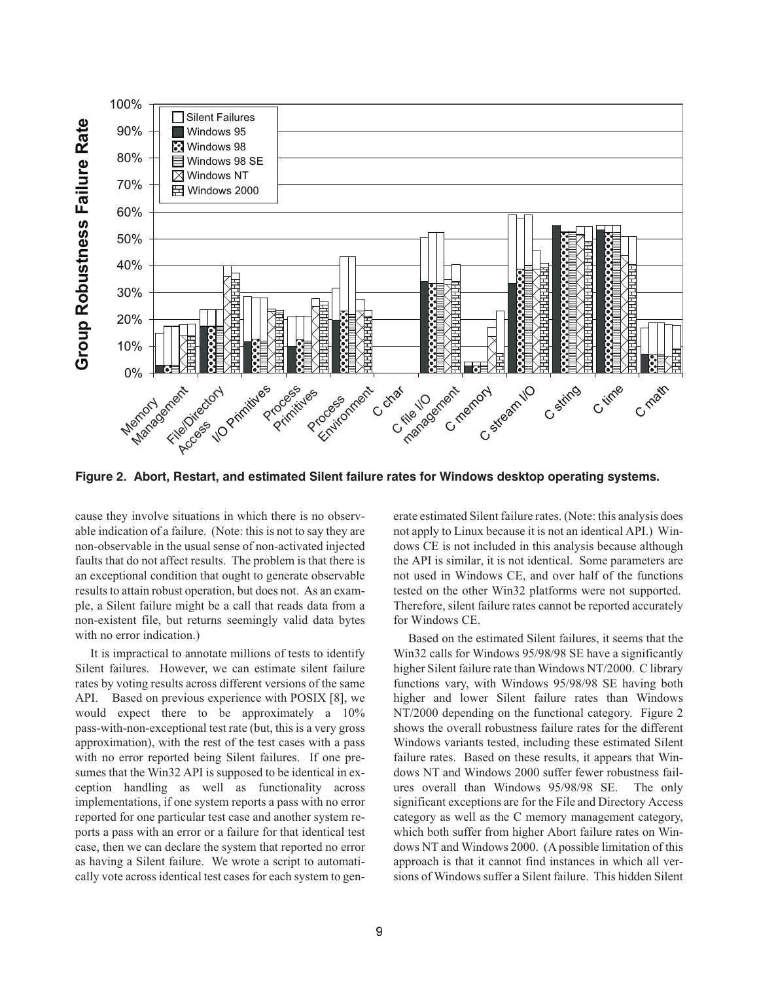

**Figure 2. Abort, Restart, and estimated Silent failure rates for Windows desktop operating systems.**

cause they involve situations in which there is no observable indication of a failure. (Note: this is not to say they are non-observable in the usual sense of non-activated injected faults that do not affect results. The problem is that there is an exceptional condition that ought to generate observable results to attain robust operation, but does not. As an example, a Silent failure might be a call that reads data from a non-existent file, but returns seemingly valid data bytes with no error indication.)

It is impractical to annotate millions of tests to identify Silent failures. However, we can estimate silent failure rates by voting results across different versions of the same API. Based on previous experience with POSIX [8], we would expect there to be approximately a 10% pass-with-non-exceptional test rate (but, this is a very gross approximation), with the rest of the test cases with a pass with no error reported being Silent failures. If one presumes that the Win32 API is supposed to be identical in exception handling as well as functionality across implementations, if one system reports a pass with no error reported for one particular test case and another system reports a pass with an error or a failure for that identical test case, then we can declare the system that reported no error as having a Silent failure. We wrote a script to automatically vote across identical test cases for each system to gen-

erate estimated Silent failure rates. (Note: this analysis does not apply to Linux because it is not an identical API.) Windows CE is not included in this analysis because although the API is similar, it is not identical. Some parameters are not used in Windows CE, and over half of the functions tested on the other Win32 platforms were not supported. Therefore, silent failure rates cannot be reported accurately for Windows CE.

Based on the estimated Silent failures, it seems that the Win32 calls for Windows 95/98/98 SE have a significantly higher Silent failure rate than Windows NT/2000. C library functions vary, with Windows 95/98/98 SE having both higher and lower Silent failure rates than Windows NT/2000 depending on the functional category. Figure 2 shows the overall robustness failure rates for the different Windows variants tested, including these estimated Silent failure rates. Based on these results, it appears that Windows NT and Windows 2000 suffer fewer robustness failures overall than Windows 95/98/98 SE. The only significant exceptions are for the File and Directory Access category as well as the C memory management category, which both suffer from higher Abort failure rates on Windows NT and Windows 2000. (A possible limitation of this approach is that it cannot find instances in which all versions of Windows suffer a Silent failure. This hidden Silent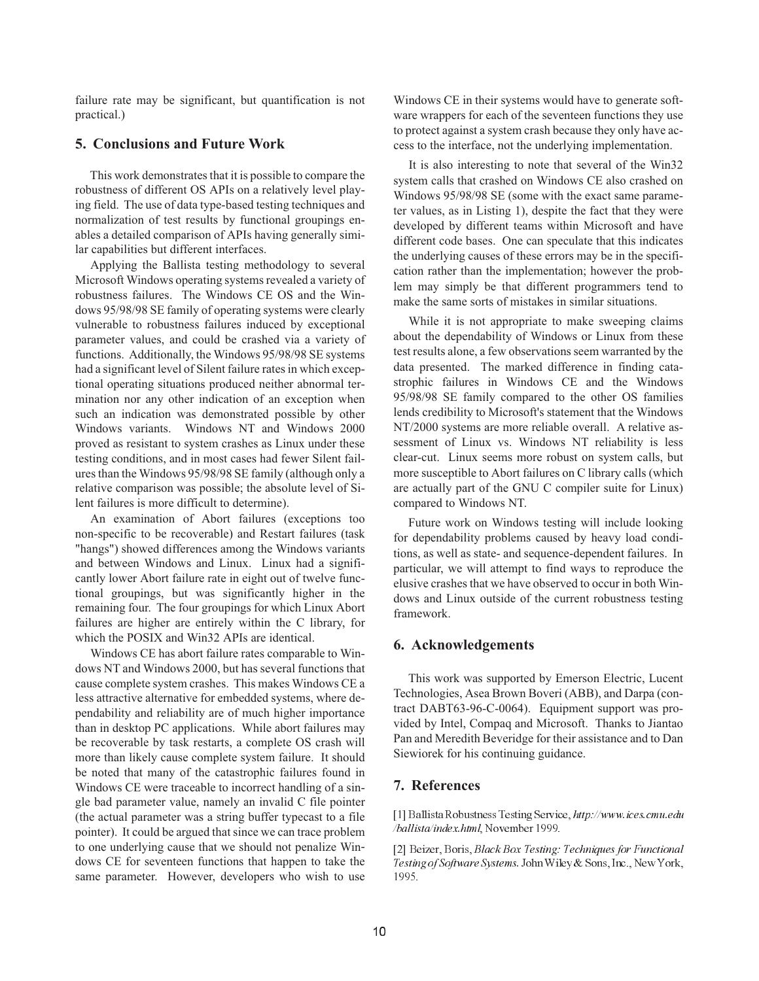failure rate may be significant, but quantification is not practical.)

## **5. Conclusions and Future Work**

This work demonstrates that it is possible to compare the robustness of different OS APIs on a relatively level playing field. The use of data type-based testing techniques and normalization of test results by functional groupings enables a detailed comparison of APIs having generally similar capabilities but different interfaces.

Applying the Ballista testing methodology to several Microsoft Windows operating systems revealed a variety of robustness failures. The Windows CE OS and the Windows 95/98/98 SE family of operating systems were clearly vulnerable to robustness failures induced by exceptional parameter values, and could be crashed via a variety of functions. Additionally, the Windows 95/98/98 SE systems had a significant level of Silent failure rates in which exceptional operating situations produced neither abnormal termination nor any other indication of an exception when such an indication was demonstrated possible by other Windows variants. Windows NT and Windows 2000 proved as resistant to system crashes as Linux under these testing conditions, and in most cases had fewer Silent failures than the Windows 95/98/98 SE family (although only a relative comparison was possible; the absolute level of Silent failures is more difficult to determine).

An examination of Abort failures (exceptions too non-specific to be recoverable) and Restart failures (task "hangs") showed differences among the Windows variants and between Windows and Linux. Linux had a significantly lower Abort failure rate in eight out of twelve functional groupings, but was significantly higher in the remaining four. The four groupings for which Linux Abort failures are higher are entirely within the C library, for which the POSIX and Win32 APIs are identical.

Windows CE has abort failure rates comparable to Windows NT and Windows 2000, but has several functions that cause complete system crashes. This makes Windows CE a less attractive alternative for embedded systems, where dependability and reliability are of much higher importance than in desktop PC applications. While abort failures may be recoverable by task restarts, a complete OS crash will more than likely cause complete system failure. It should be noted that many of the catastrophic failures found in Windows CE were traceable to incorrect handling of a single bad parameter value, namely an invalid C file pointer (the actual parameter was a string buffer typecast to a file pointer). It could be argued that since we can trace problem to one underlying cause that we should not penalize Windows CE for seventeen functions that happen to take the same parameter. However, developers who wish to use

Windows CE in their systems would have to generate software wrappers for each of the seventeen functions they use to protect against a system crash because they only have access to the interface, not the underlying implementation.

It is also interesting to note that several of the Win32 system calls that crashed on Windows CE also crashed on Windows 95/98/98 SE (some with the exact same parameter values, as in Listing 1), despite the fact that they were developed by different teams within Microsoft and have different code bases. One can speculate that this indicates the underlying causes of these errors may be in the specification rather than the implementation; however the problem may simply be that different programmers tend to make the same sorts of mistakes in similar situations.

While it is not appropriate to make sweeping claims about the dependability of Windows or Linux from these test results alone, a few observations seem warranted by the data presented. The marked difference in finding catastrophic failures in Windows CE and the Windows 95/98/98 SE family compared to the other OS families lends credibility to Microsoft's statement that the Windows NT/2000 systems are more reliable overall. A relative assessment of Linux vs. Windows NT reliability is less clear-cut. Linux seems more robust on system calls, but more susceptible to Abort failures on C library calls (which are actually part of the GNU C compiler suite for Linux) compared to Windows NT.

Future work on Windows testing will include looking for dependability problems caused by heavy load conditions, as well as state- and sequence-dependent failures. In particular, we will attempt to find ways to reproduce the elusive crashes that we have observed to occur in both Windows and Linux outside of the current robustness testing framework.

## **6. Acknowledgements**

This work was supported by Emerson Electric, Lucent Technologies, Asea Brown Boveri (ABB), and Darpa (contract DABT63-96-C-0064). Equipment support was provided by Intel, Compaq and Microsoft. Thanks to Jiantao Pan and Meredith Beveridge for their assistance and to Dan Siewiorek for his continuing guidance.

## **7. References**

[1] Ballista Robustness Testing Service, http://www.ices.cmu.edu /ballista/index.html, November 1999.

[2] Beizer, Boris, Black Box Testing: Techniques for Functional Testing of Software Systems.John Wiley & Sons, Inc., New York, 1995.